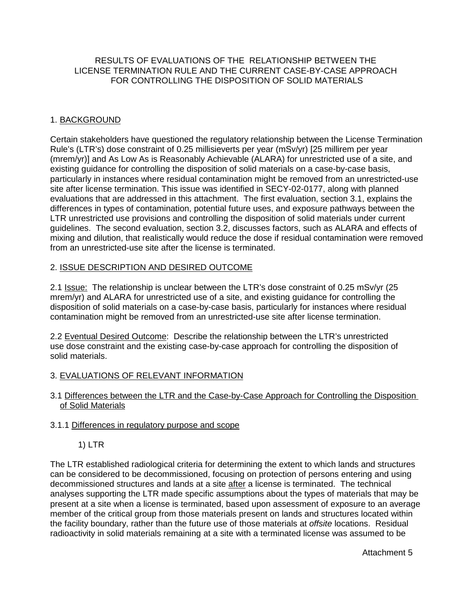# RESULTS OF EVALUATIONS OF THE RELATIONSHIP BETWEEN THE LICENSE TERMINATION RULE AND THE CURRENT CASE-BY-CASE APPROACH FOR CONTROLLING THE DISPOSITION OF SOLID MATERIALS

# 1. BACKGROUND

Certain stakeholders have questioned the regulatory relationship between the License Termination Rule's (LTR's) dose constraint of 0.25 millisieverts per year (mSv/yr) [25 millirem per year (mrem/yr)] and As Low As is Reasonably Achievable (ALARA) for unrestricted use of a site, and existing guidance for controlling the disposition of solid materials on a case-by-case basis, particularly in instances where residual contamination might be removed from an unrestricted-use site after license termination. This issue was identified in SECY-02-0177, along with planned evaluations that are addressed in this attachment. The first evaluation, section 3.1, explains the differences in types of contamination, potential future uses, and exposure pathways between the LTR unrestricted use provisions and controlling the disposition of solid materials under current guidelines. The second evaluation, section 3.2, discusses factors, such as ALARA and effects of mixing and dilution, that realistically would reduce the dose if residual contamination were removed from an unrestricted-use site after the license is terminated.

# 2. ISSUE DESCRIPTION AND DESIRED OUTCOME

2.1 Issue: The relationship is unclear between the LTR's dose constraint of 0.25 mSv/yr (25 mrem/yr) and ALARA for unrestricted use of a site, and existing guidance for controlling the disposition of solid materials on a case-by-case basis, particularly for instances where residual contamination might be removed from an unrestricted-use site after license termination.

2.2 Eventual Desired Outcome: Describe the relationship between the LTR's unrestricted use dose constraint and the existing case-by-case approach for controlling the disposition of solid materials.

# 3. EVALUATIONS OF RELEVANT INFORMATION

3.1 Differences between the LTR and the Case-by-Case Approach for Controlling the Disposition of Solid Materials

# 3.1.1 Differences in regulatory purpose and scope

1) LTR

The LTR established radiological criteria for determining the extent to which lands and structures can be considered to be decommissioned, focusing on protection of persons entering and using decommissioned structures and lands at a site after a license is terminated. The technical analyses supporting the LTR made specific assumptions about the types of materials that may be present at a site when a license is terminated, based upon assessment of exposure to an average member of the critical group from those materials present on lands and structures located within the facility boundary, rather than the future use of those materials at offsite locations. Residual radioactivity in solid materials remaining at a site with a terminated license was assumed to be

Attachment 5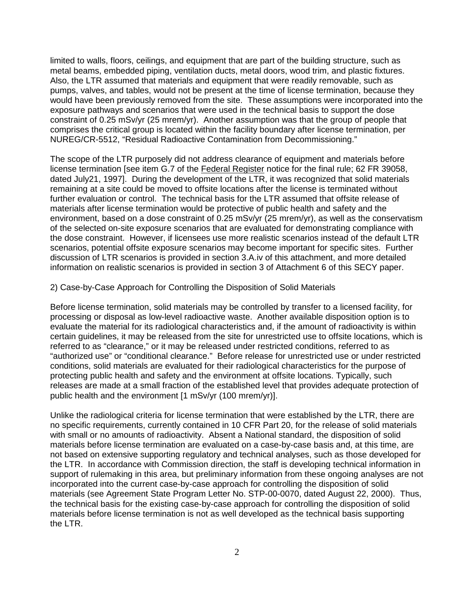limited to walls, floors, ceilings, and equipment that are part of the building structure, such as metal beams, embedded piping, ventilation ducts, metal doors, wood trim, and plastic fixtures. Also, the LTR assumed that materials and equipment that were readily removable, such as pumps, valves, and tables, would not be present at the time of license termination, because they would have been previously removed from the site. These assumptions were incorporated into the exposure pathways and scenarios that were used in the technical basis to support the dose constraint of 0.25 mSv/yr (25 mrem/yr). Another assumption was that the group of people that comprises the critical group is located within the facility boundary after license termination, per NUREG/CR-5512, "Residual Radioactive Contamination from Decommissioning."

The scope of the LTR purposely did not address clearance of equipment and materials before license termination [see item G.7 of the Federal Register notice for the final rule; 62 FR 39058, dated July21, 1997]. During the development of the LTR, it was recognized that solid materials remaining at a site could be moved to offsite locations after the license is terminated without further evaluation or control. The technical basis for the LTR assumed that offsite release of materials after license termination would be protective of public health and safety and the environment, based on a dose constraint of 0.25 mSv/yr (25 mrem/yr), as well as the conservatism of the selected on-site exposure scenarios that are evaluated for demonstrating compliance with the dose constraint. However, if licensees use more realistic scenarios instead of the default LTR scenarios, potential offsite exposure scenarios may become important for specific sites. Further discussion of LTR scenarios is provided in section 3.A.iv of this attachment, and more detailed information on realistic scenarios is provided in section 3 of Attachment 6 of this SECY paper.

#### 2) Case-by-Case Approach for Controlling the Disposition of Solid Materials

Before license termination, solid materials may be controlled by transfer to a licensed facility, for processing or disposal as low-level radioactive waste. Another available disposition option is to evaluate the material for its radiological characteristics and, if the amount of radioactivity is within certain guidelines, it may be released from the site for unrestricted use to offsite locations, which is referred to as "clearance," or it may be released under restricted conditions, referred to as "authorized use" or "conditional clearance." Before release for unrestricted use or under restricted conditions, solid materials are evaluated for their radiological characteristics for the purpose of protecting public health and safety and the environment at offsite locations. Typically, such releases are made at a small fraction of the established level that provides adequate protection of public health and the environment [1 mSv/yr (100 mrem/yr)].

Unlike the radiological criteria for license termination that were established by the LTR, there are no specific requirements, currently contained in 10 CFR Part 20, for the release of solid materials with small or no amounts of radioactivity. Absent a National standard, the disposition of solid materials before license termination are evaluated on a case-by-case basis and, at this time, are not based on extensive supporting regulatory and technical analyses, such as those developed for the LTR. In accordance with Commission direction, the staff is developing technical information in support of rulemaking in this area, but preliminary information from these ongoing analyses are not incorporated into the current case-by-case approach for controlling the disposition of solid materials (see Agreement State Program Letter No. STP-00-0070, dated August 22, 2000). Thus, the technical basis for the existing case-by-case approach for controlling the disposition of solid materials before license termination is not as well developed as the technical basis supporting the LTR.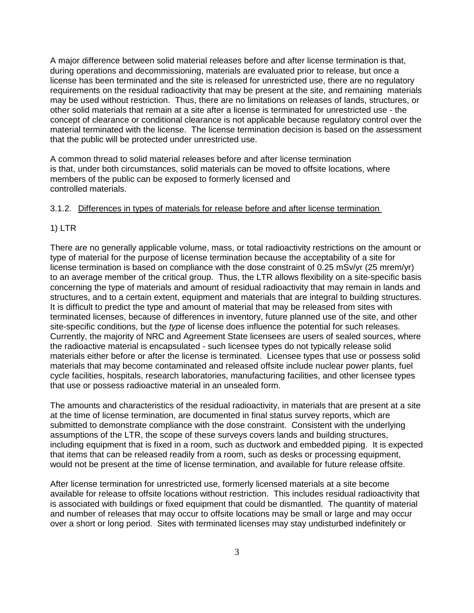A major difference between solid material releases before and after license termination is that, during operations and decommissioning, materials are evaluated prior to release, but once a license has been terminated and the site is released for unrestricted use, there are no regulatory requirements on the residual radioactivity that may be present at the site, and remaining materials may be used without restriction. Thus, there are no limitations on releases of lands, structures, or other solid materials that remain at a site after a license is terminated for unrestricted use - the concept of clearance or conditional clearance is not applicable because regulatory control over the material terminated with the license. The license termination decision is based on the assessment that the public will be protected under unrestricted use.

A common thread to solid material releases before and after license termination is that, under both circumstances, solid materials can be moved to offsite locations, where members of the public can be exposed to formerly licensed and controlled materials.

## 3.1.2. Differences in types of materials for release before and after license termination

#### 1) LTR

There are no generally applicable volume, mass, or total radioactivity restrictions on the amount or type of material for the purpose of license termination because the acceptability of a site for license termination is based on compliance with the dose constraint of 0.25 mSv/yr (25 mrem/yr) to an average member of the critical group. Thus, the LTR allows flexibility on a site-specific basis concerning the type of materials and amount of residual radioactivity that may remain in lands and structures, and to a certain extent, equipment and materials that are integral to building structures. It is difficult to predict the type and amount of material that may be released from sites with terminated licenses, because of differences in inventory, future planned use of the site, and other site-specific conditions, but the type of license does influence the potential for such releases. Currently, the majority of NRC and Agreement State licensees are users of sealed sources, where the radioactive material is encapsulated - such licensee types do not typically release solid materials either before or after the license is terminated. Licensee types that use or possess solid materials that may become contaminated and released offsite include nuclear power plants, fuel cycle facilities, hospitals, research laboratories, manufacturing facilities, and other licensee types that use or possess radioactive material in an unsealed form.

The amounts and characteristics of the residual radioactivity, in materials that are present at a site at the time of license termination, are documented in final status survey reports, which are submitted to demonstrate compliance with the dose constraint. Consistent with the underlying assumptions of the LTR, the scope of these surveys covers lands and building structures, including equipment that is fixed in a room, such as ductwork and embedded piping. It is expected that items that can be released readily from a room, such as desks or processing equipment, would not be present at the time of license termination, and available for future release offsite.

After license termination for unrestricted use, formerly licensed materials at a site become available for release to offsite locations without restriction. This includes residual radioactivity that is associated with buildings or fixed equipment that could be dismantled. The quantity of material and number of releases that may occur to offsite locations may be small or large and may occur over a short or long period. Sites with terminated licenses may stay undisturbed indefinitely or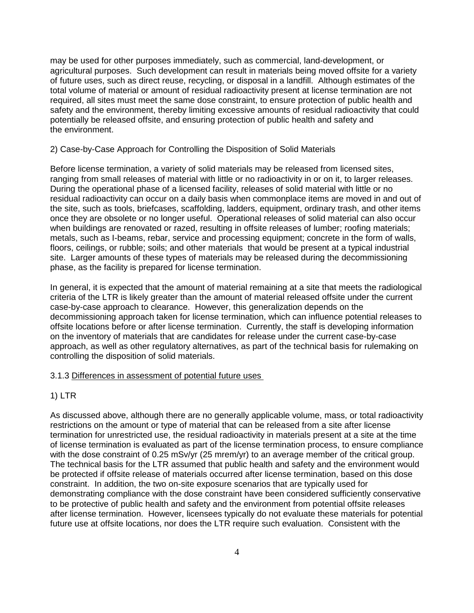may be used for other purposes immediately, such as commercial, land-development, or agricultural purposes. Such development can result in materials being moved offsite for a variety of future uses, such as direct reuse, recycling, or disposal in a landfill. Although estimates of the total volume of material or amount of residual radioactivity present at license termination are not required, all sites must meet the same dose constraint, to ensure protection of public health and safety and the environment, thereby limiting excessive amounts of residual radioactivity that could potentially be released offsite, and ensuring protection of public health and safety and the environment.

#### 2) Case-by-Case Approach for Controlling the Disposition of Solid Materials

Before license termination, a variety of solid materials may be released from licensed sites, ranging from small releases of material with little or no radioactivity in or on it, to larger releases. During the operational phase of a licensed facility, releases of solid material with little or no residual radioactivity can occur on a daily basis when commonplace items are moved in and out of the site, such as tools, briefcases, scaffolding, ladders, equipment, ordinary trash, and other items once they are obsolete or no longer useful. Operational releases of solid material can also occur when buildings are renovated or razed, resulting in offsite releases of lumber; roofing materials; metals, such as I-beams, rebar, service and processing equipment; concrete in the form of walls, floors, ceilings, or rubble; soils; and other materials that would be present at a typical industrial site. Larger amounts of these types of materials may be released during the decommissioning phase, as the facility is prepared for license termination.

In general, it is expected that the amount of material remaining at a site that meets the radiological criteria of the LTR is likely greater than the amount of material released offsite under the current case-by-case approach to clearance. However, this generalization depends on the decommissioning approach taken for license termination, which can influence potential releases to offsite locations before or after license termination. Currently, the staff is developing information on the inventory of materials that are candidates for release under the current case-by-case approach, as well as other regulatory alternatives, as part of the technical basis for rulemaking on controlling the disposition of solid materials.

#### 3.1.3 Differences in assessment of potential future uses

### 1) LTR

As discussed above, although there are no generally applicable volume, mass, or total radioactivity restrictions on the amount or type of material that can be released from a site after license termination for unrestricted use, the residual radioactivity in materials present at a site at the time of license termination is evaluated as part of the license termination process, to ensure compliance with the dose constraint of 0.25 mSv/yr (25 mrem/yr) to an average member of the critical group. The technical basis for the LTR assumed that public health and safety and the environment would be protected if offsite release of materials occurred after license termination, based on this dose constraint. In addition, the two on-site exposure scenarios that are typically used for demonstrating compliance with the dose constraint have been considered sufficiently conservative to be protective of public health and safety and the environment from potential offsite releases after license termination. However, licensees typically do not evaluate these materials for potential future use at offsite locations, nor does the LTR require such evaluation. Consistent with the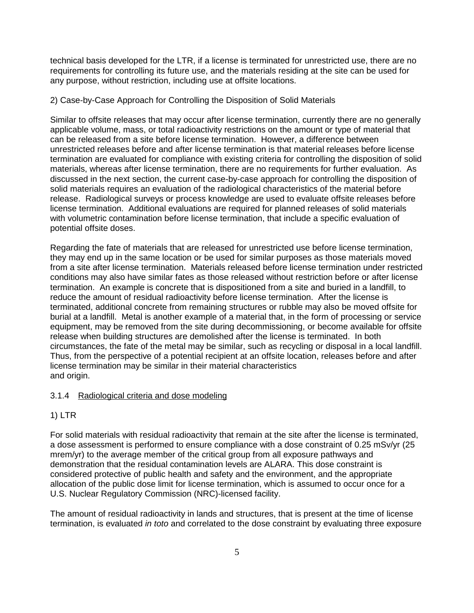technical basis developed for the LTR, if a license is terminated for unrestricted use, there are no requirements for controlling its future use, and the materials residing at the site can be used for any purpose, without restriction, including use at offsite locations.

#### 2) Case-by-Case Approach for Controlling the Disposition of Solid Materials

Similar to offsite releases that may occur after license termination, currently there are no generally applicable volume, mass, or total radioactivity restrictions on the amount or type of material that can be released from a site before license termination. However, a difference between unrestricted releases before and after license termination is that material releases before license termination are evaluated for compliance with existing criteria for controlling the disposition of solid materials, whereas after license termination, there are no requirements for further evaluation. As discussed in the next section, the current case-by-case approach for controlling the disposition of solid materials requires an evaluation of the radiological characteristics of the material before release. Radiological surveys or process knowledge are used to evaluate offsite releases before license termination. Additional evaluations are required for planned releases of solid materials with volumetric contamination before license termination, that include a specific evaluation of potential offsite doses.

Regarding the fate of materials that are released for unrestricted use before license termination, they may end up in the same location or be used for similar purposes as those materials moved from a site after license termination. Materials released before license termination under restricted conditions may also have similar fates as those released without restriction before or after license termination. An example is concrete that is dispositioned from a site and buried in a landfill, to reduce the amount of residual radioactivity before license termination. After the license is terminated, additional concrete from remaining structures or rubble may also be moved offsite for burial at a landfill. Metal is another example of a material that, in the form of processing or service equipment, may be removed from the site during decommissioning, or become available for offsite release when building structures are demolished after the license is terminated. In both circumstances, the fate of the metal may be similar, such as recycling or disposal in a local landfill. Thus, from the perspective of a potential recipient at an offsite location, releases before and after license termination may be similar in their material characteristics and origin.

#### 3.1.4 Radiological criteria and dose modeling

### 1) LTR

For solid materials with residual radioactivity that remain at the site after the license is terminated, a dose assessment is performed to ensure compliance with a dose constraint of 0.25 mSv/yr (25 mrem/yr) to the average member of the critical group from all exposure pathways and demonstration that the residual contamination levels are ALARA. This dose constraint is considered protective of public health and safety and the environment, and the appropriate allocation of the public dose limit for license termination, which is assumed to occur once for a U.S. Nuclear Regulatory Commission (NRC)-licensed facility.

The amount of residual radioactivity in lands and structures, that is present at the time of license termination, is evaluated in toto and correlated to the dose constraint by evaluating three exposure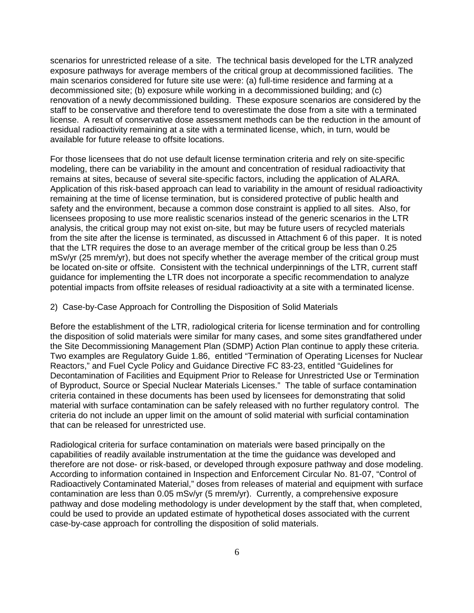scenarios for unrestricted release of a site. The technical basis developed for the LTR analyzed exposure pathways for average members of the critical group at decommissioned facilities. The main scenarios considered for future site use were: (a) full-time residence and farming at a decommissioned site; (b) exposure while working in a decommissioned building; and (c) renovation of a newly decommissioned building. These exposure scenarios are considered by the staff to be conservative and therefore tend to overestimate the dose from a site with a terminated license. A result of conservative dose assessment methods can be the reduction in the amount of residual radioactivity remaining at a site with a terminated license, which, in turn, would be available for future release to offsite locations.

For those licensees that do not use default license termination criteria and rely on site-specific modeling, there can be variability in the amount and concentration of residual radioactivity that remains at sites, because of several site-specific factors, including the application of ALARA. Application of this risk-based approach can lead to variability in the amount of residual radioactivity remaining at the time of license termination, but is considered protective of public health and safety and the environment, because a common dose constraint is applied to all sites. Also, for licensees proposing to use more realistic scenarios instead of the generic scenarios in the LTR analysis, the critical group may not exist on-site, but may be future users of recycled materials from the site after the license is terminated, as discussed in Attachment 6 of this paper. It is noted that the LTR requires the dose to an average member of the critical group be less than 0.25 mSv/yr (25 mrem/yr), but does not specify whether the average member of the critical group must be located on-site or offsite. Consistent with the technical underpinnings of the LTR, current staff guidance for implementing the LTR does not incorporate a specific recommendation to analyze potential impacts from offsite releases of residual radioactivity at a site with a terminated license.

#### 2) Case-by-Case Approach for Controlling the Disposition of Solid Materials

Before the establishment of the LTR, radiological criteria for license termination and for controlling the disposition of solid materials were similar for many cases, and some sites grandfathered under the Site Decommissioning Management Plan (SDMP) Action Plan continue to apply these criteria. Two examples are Regulatory Guide 1.86, entitled "Termination of Operating Licenses for Nuclear Reactors," and Fuel Cycle Policy and Guidance Directive FC 83-23, entitled "Guidelines for Decontamination of Facilities and Equipment Prior to Release for Unrestricted Use or Termination of Byproduct, Source or Special Nuclear Materials Licenses." The table of surface contamination criteria contained in these documents has been used by licensees for demonstrating that solid material with surface contamination can be safely released with no further regulatory control. The criteria do not include an upper limit on the amount of solid material with surficial contamination that can be released for unrestricted use.

Radiological criteria for surface contamination on materials were based principally on the capabilities of readily available instrumentation at the time the guidance was developed and therefore are not dose- or risk-based, or developed through exposure pathway and dose modeling. According to information contained in Inspection and Enforcement Circular No. 81-07, "Control of Radioactively Contaminated Material," doses from releases of material and equipment with surface contamination are less than 0.05 mSv/yr (5 mrem/yr). Currently, a comprehensive exposure pathway and dose modeling methodology is under development by the staff that, when completed, could be used to provide an updated estimate of hypothetical doses associated with the current case-by-case approach for controlling the disposition of solid materials.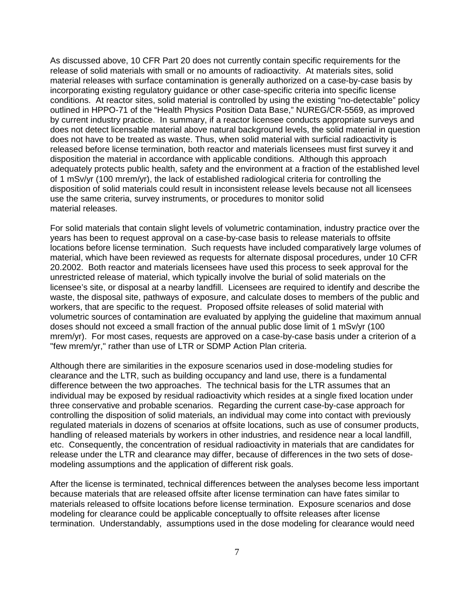As discussed above, 10 CFR Part 20 does not currently contain specific requirements for the release of solid materials with small or no amounts of radioactivity. At materials sites, solid material releases with surface contamination is generally authorized on a case-by-case basis by incorporating existing regulatory guidance or other case-specific criteria into specific license conditions. At reactor sites, solid material is controlled by using the existing "no-detectable" policy outlined in HPPO-71 of the "Health Physics Position Data Base," NUREG/CR-5569, as improved by current industry practice. In summary, if a reactor licensee conducts appropriate surveys and does not detect licensable material above natural background levels, the solid material in question does not have to be treated as waste. Thus, when solid material with surficial radioactivity is released before license termination, both reactor and materials licensees must first survey it and disposition the material in accordance with applicable conditions. Although this approach adequately protects public health, safety and the environment at a fraction of the established level of 1 mSv/yr (100 mrem/yr), the lack of established radiological criteria for controlling the disposition of solid materials could result in inconsistent release levels because not all licensees use the same criteria, survey instruments, or procedures to monitor solid material releases.

For solid materials that contain slight levels of volumetric contamination, industry practice over the years has been to request approval on a case-by-case basis to release materials to offsite locations before license termination. Such requests have included comparatively large volumes of material, which have been reviewed as requests for alternate disposal procedures, under 10 CFR 20.2002. Both reactor and materials licensees have used this process to seek approval for the unrestricted release of material, which typically involve the burial of solid materials on the licensee's site, or disposal at a nearby landfill. Licensees are required to identify and describe the waste, the disposal site, pathways of exposure, and calculate doses to members of the public and workers, that are specific to the request. Proposed offsite releases of solid material with volumetric sources of contamination are evaluated by applying the guideline that maximum annual doses should not exceed a small fraction of the annual public dose limit of 1 mSv/yr (100 mrem/yr). For most cases, requests are approved on a case-by-case basis under a criterion of a "few mrem/yr," rather than use of LTR or SDMP Action Plan criteria.

Although there are similarities in the exposure scenarios used in dose-modeling studies for clearance and the LTR, such as building occupancy and land use, there is a fundamental difference between the two approaches. The technical basis for the LTR assumes that an individual may be exposed by residual radioactivity which resides at a single fixed location under three conservative and probable scenarios. Regarding the current case-by-case approach for controlling the disposition of solid materials, an individual may come into contact with previously regulated materials in dozens of scenarios at offsite locations, such as use of consumer products, handling of released materials by workers in other industries, and residence near a local landfill, etc. Consequently, the concentration of residual radioactivity in materials that are candidates for release under the LTR and clearance may differ, because of differences in the two sets of dosemodeling assumptions and the application of different risk goals.

After the license is terminated, technical differences between the analyses become less important because materials that are released offsite after license termination can have fates similar to materials released to offsite locations before license termination. Exposure scenarios and dose modeling for clearance could be applicable conceptually to offsite releases after license termination. Understandably, assumptions used in the dose modeling for clearance would need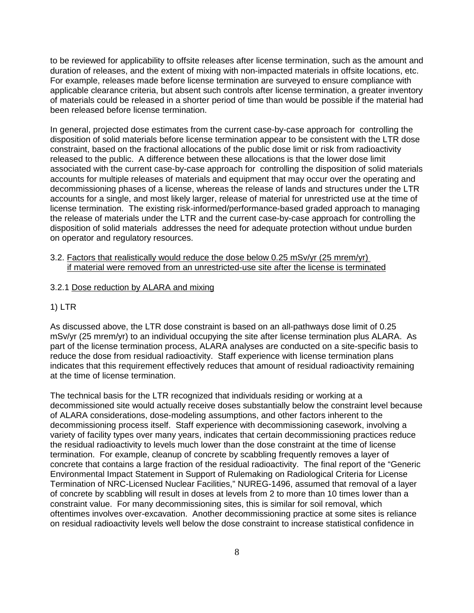to be reviewed for applicability to offsite releases after license termination, such as the amount and duration of releases, and the extent of mixing with non-impacted materials in offsite locations, etc. For example, releases made before license termination are surveyed to ensure compliance with applicable clearance criteria, but absent such controls after license termination, a greater inventory of materials could be released in a shorter period of time than would be possible if the material had been released before license termination.

In general, projected dose estimates from the current case-by-case approach for controlling the disposition of solid materials before license termination appear to be consistent with the LTR dose constraint, based on the fractional allocations of the public dose limit or risk from radioactivity released to the public. A difference between these allocations is that the lower dose limit associated with the current case-by-case approach for controlling the disposition of solid materials accounts for multiple releases of materials and equipment that may occur over the operating and decommissioning phases of a license, whereas the release of lands and structures under the LTR accounts for a single, and most likely larger, release of material for unrestricted use at the time of license termination. The existing risk-informed/performance-based graded approach to managing the release of materials under the LTR and the current case-by-case approach for controlling the disposition of solid materials addresses the need for adequate protection without undue burden on operator and regulatory resources.

3.2. Factors that realistically would reduce the dose below 0.25 mSv/yr (25 mrem/yr) if material were removed from an unrestricted-use site after the license is terminated

### 3.2.1 Dose reduction by ALARA and mixing

## 1) LTR

As discussed above, the LTR dose constraint is based on an all-pathways dose limit of 0.25 mSv/yr (25 mrem/yr) to an individual occupying the site after license termination plus ALARA. As part of the license termination process, ALARA analyses are conducted on a site-specific basis to reduce the dose from residual radioactivity. Staff experience with license termination plans indicates that this requirement effectively reduces that amount of residual radioactivity remaining at the time of license termination.

The technical basis for the LTR recognized that individuals residing or working at a decommissioned site would actually receive doses substantially below the constraint level because of ALARA considerations, dose-modeling assumptions, and other factors inherent to the decommissioning process itself. Staff experience with decommissioning casework, involving a variety of facility types over many years, indicates that certain decommissioning practices reduce the residual radioactivity to levels much lower than the dose constraint at the time of license termination. For example, cleanup of concrete by scabbling frequently removes a layer of concrete that contains a large fraction of the residual radioactivity. The final report of the "Generic Environmental Impact Statement in Support of Rulemaking on Radiological Criteria for License Termination of NRC-Licensed Nuclear Facilities," NUREG-1496, assumed that removal of a layer of concrete by scabbling will result in doses at levels from 2 to more than 10 times lower than a constraint value. For many decommissioning sites, this is similar for soil removal, which oftentimes involves over-excavation. Another decommissioning practice at some sites is reliance on residual radioactivity levels well below the dose constraint to increase statistical confidence in